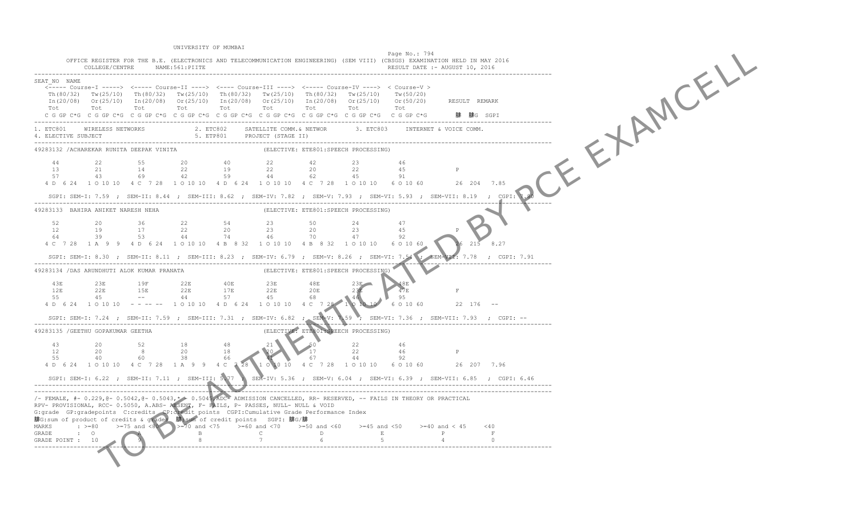TO BE A RIGHT OF EXAMPLE UNIVERSITY OF MUMBAI Page No.: 794 OFFICE REGISTER FOR THE B.E. (ELECTRONICS AND TELECOMMUNICATION ENGINEERING) (SEM VIII) (CBSGS) EXAMINATION HELD IN MAY 2016 COLLEGE/CENTRE NAME:561:PIITE ------------------------------------------------------------------------------------------------------------------------------------------------- SEAT\_NO NAME <----- Course-I -----> <----- Course-II ----> <---- Course-III ----> <----- Course-IV ----> < Course-V > Th(80/32) Tw(25/10) Th(80/32) Tw(25/10) Th(80/32) Tw(25/10) Th(80/32) Tw(25/10) Tw(50/20)  $In (20/08)$  Or(25/10)  $In (20/08)$  Or(25/10)  $In (20/08)$  Or(25/10)  $In (20/08)$  Or(25/10) Or(50/20) Tot Tot Tot Tot Tot Tot Tot Tot Tot C G GP C\*G C G GP C\*G C G GP C\*G C G GP C\*G C G GP C\*G C G GP C\*G C G GP C\*G C G GP C\*G C G GP C\*G ------------------------------------------------------------------------------------------------------------------------------------------------- 1. ETC801 WIRELESS NETWORKS 2. ETC802 SATELLITE COMM.& NETWOR 3. ETC803 INTERNET & VOICE COMM.<br>4. ELECTIVE SUBJECT ------------------------------------------------------------------------------------------------------------------------------------------------- 49283132 /ACHAREKAR RUNITA DEEPAK VINITA 44 22 55 20 40 22 42 23 46 13 21 14 22 19 22 20 22 45 P 57 43 69 42 59 44 62 45 91 4 D 6 24 1 O 10 10 4 C 7 28 1 O 10 10 4 D 6 24 1 O 10 10 4 C 7 28 1 O 10 10 6 O 10 60 26 204 7.85 SGPI: SEM-I: 7.59 ; SEM-II: 8.44 ; SEM-III: 8.62 ; SEM-IV: 7.82 ; SEM-V: 7.93 ; SEM-VI: 5.93 ; SEM-VII: 8.19 ; CGPI: 7.80 ------------------------------------------------------------------------------------------------------------------------------------------------- (ELECTIVE: ETE801:SPEECH PROCESSING) 52 20 36 22 54 23 50 24 47 12 19 17 22 20 23 20 23 45 P 64 39 53 44 74 46 70 47 92 4 C 7 28 1 A 9 9 4 D 6 24 1 O 10 10 4 B 8 32 1 O 10 10 4 B 8 32 1 O 10 10 10 6 O 10 60 SGPI: SEM-I: 8.30 ; SEM-II: 8.11 ; SEM-III: 8.23 ; SEM-IV: 6.79 ; SEM-V: 8.26 ; SEM-VI: 7.54 ------------------------------------------------------------------------------------------------------------------------------------------------- 49283134 /DAS ARUNDHUTI ALOK KUMAR PRANATA 43E 23E 19F 22E 40E 23E 48E 23E 48E 12E 22E 15E 22E 17E 22E 20E 23E 47E F 55 45 -- 44 57 45 68 46 95 4 D 6 24 1 O 10 10 - --- -- 1 O 10 10 4 D 6 24 1 O 10 10 4 C 7 28 1 O 10 SGPI: SEM-I: 7.24 ; SEM-II: 7.59 ; SEM-III: 7.31 ; SEM-IV: 6.82 ; SEM-V: 7.59 ; SEM-VI: 7.36 ; SEM-VII: 7.93 ; CGPI: -- ------------------------------------------------------------------------------------------------------------------------------------------------- (ELECTIVE: ETE801:SPEECH PROCESSING) 43 20 52 18 48 21 50 22 46 12 20 8 20 18 20 17 22 46 P 55 40 60 38 66 41 67 44 92 4 D 6 24 1 O 10 10 4 C 7 28 1 A 9 9 4 C 7 28 1 O 10 10 4 C 7 28 1 O 10 10 6 O 10 60 26 207 7.96 SGPI: SEM-I: 6.22 ; SEM-II: 7.11 ; SEM-III: 5.77 ; SEM-IV: 5.36 ; SEM-V: 6.04 ; SEM-VI: 6.39 ; SEM-VII: 6.85 ; CGPI: 6.46 ------------------------------------------------------------------------------------------------------------------------------------------------- ------------------------------------------------------------------------------------------------------------------------------------------------- /- FEMALE, #- 0.229,@- 0.5042,@- 0.5043,\* - 0.5045,ADC- ADMISSION CANCELLED, RR- RESERVED, -- FAILS IN THEORY OR PRACTICAL RPV- PROVISIONAL, RCC- 0.5050, A.ABS- ABSENT, F- FAILS, P- PASSES, NULL- NULL & VOID G:grade GP:gradepoints C:credits CP:credit points CGPI:Cumulative Grade Performance Index 腓G:sum of product of credits & grades 腓:sum of credit points SGPI: 腓G/腓 MARKS :  $>=80$   $>=75$  and  $<80$   $>=70$  and  $<75$   $>=60$  and  $<70$   $>=50$  and  $<60$   $>=45$  and  $<50$   $>=40$  and  $<45$   $<40$ <br>E P F GRADE POINT : 10 -------------------------------------------------------------------------------------------------------------------------------------------------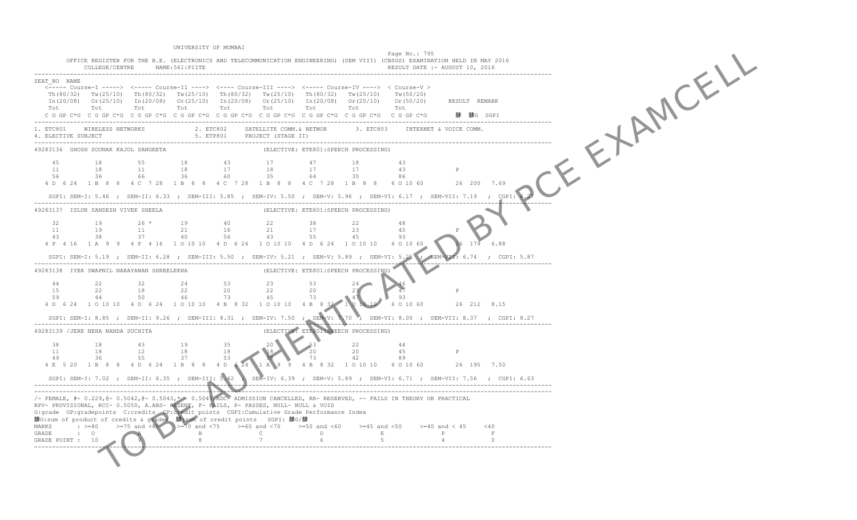TO BE A RIGHT OF BY A RIGHT OF BUT A RIGHT OF BUT A RIGHT OF BUT A RIGHT OF BUT A RIGHT OF BUT A RIGHT OF BUT A RIGHT OF BUT A RIGHT OF BUT A RIGHT OF BUT A RIGHT OF BUT A RIGHT OF BUT A RIGHT OF BUT A RIGHT OF BUT A RIGHT UNIVERSITY OF MUMBAI Page No.: 795 OFFICE REGISTER FOR THE B.E. (ELECTRONICS AND TELECOMMUNICATION ENGINEERING) (SEM VIII) (CBSGS) EXAMINATION HELD IN MAY 2016 COLLEGE/CENTRE NAME:561:PIITE ------------------------------------------------------------------------------------------------------------------------------------------------- SEAT\_NO NAME <----- Course-I -----> <----- Course-II ----> <---- Course-III ----> <----- Course-IV ----> < Course-V > Th(80/32) Tw(25/10) Th(80/32) Tw(25/10) Th(80/32) Tw(25/10) Th(80/32) Tw(25/10) Tw(50/20)  $In (20/08)$  Or(25/10)  $In (20/08)$  Or(25/10)  $In (20/08)$  Or(25/10)  $In (20/08)$  Or(25/10) Or(50/20) Tot Tot Tot Tot Tot Tot Tot Tot Tot C G GP C\*G C G GP C\*G C G GP C\*G C G GP C\*G C G GP C\*G C G GP C\*G C G GP C\*G C G GP C\*G C G GP C\*G ------------------------------------------------------------------------------------------------------------------------------------------------- 1. ETC801 WIRELESS NETWORKS 2. ETC802 SATELLITE COMM.& NETWOR 3. ETC803 INTERNET & VOICE COMM.<br>4. ELECTIVE SUBJECT ------------------------------------------------------------------------------------------------------------------------------------------------- (ELECTIVE: ETE801:SPEECH PROCESSING) 45 18 55 18 43 17 47 18 43 11 18 11 18 17 18 17 17 43 P 56 36 66 36 60 35 64 35 86 4 D 6 24 1 B 8 8 4 C 7 28 1 B 8 8 4 C 7 28 1 B 8 8 4 C 7 28 1 B 8 8 6 O 10 60 26 200 7.69 SGPI: SEM-I: 5.46 ; SEM-II: 6.33 ; SEM-III: 5.85 ; SEM-IV: 5.50 ; SEM-V: 5.96 ; SEM-VI: 6.17 ; SEM-VII: 7.19 ; CGPI: 6.27 ------------------------------------------------------------------------------------------------------------------------------------------------- 49283137 ISLUR SANDESH VIVEK SHEELA 32 19 26 \* 19 40 22 38 22 48 11 19 11 21 43 38 37 40 56 43 55 45 93 4 P 4 16 1 A 9 9 4 P 4 16 1 0 10 10 4 D 6 24 1 0 10 10 4 D 6 24 1 0 10 10 10 6 0 10 60 SGPI: SEM-I: 5.19 ; SEM-II: 6.28 ; SEM-III: 5.50 ; SEM-IV: 5.21 ; SEM-V: 5.89 ; SEM-VI: 5.25 ------------------------------------------------------------------------------------------------------------------------------------------------- 49283138 IYER SWAPNIL NARAYANAN SHREELEKHA 44 22 32 24 53 23 53 24 46 15 22 18 22 20 22 20 23 16<br>59 44 50 46 73 45 73 147 93 4 D 6 24 1 O 10 10 4 D 6 24 1 O 10 10 4 B 8 32 1 O 10 10 4 B 8 32 1 O 10 10 SGPI: SEM-I: 8.85 ; SEM-II: 9.26 ; SEM-III: 8.31 ; SEM-IV: 7.50 ; SEM-V: 7.70 ; SEM-VI: 8.00 ; SEM-VII: 8.37 ; CGPI: 8.27 ------------------------------------------------------------------------------------------------------------------------------------------------- (ELECTIVE: ETE801:SPEECH PROCESSING) 38 18 43 19 35 20 53 22 44 11 18 12 18 18 18 20 20 45 P<br>49 36 55 37 53 73 42 89 1 A 9 9 4 B 8 32 1 0 10 10 6 0 10 60 26 195 7.50 SGPI: SEM-I: 7.02 ; SEM-II: 6.35 ; SEM-III: 5.62 ; SEM-IV: 6.39 ; SEM-V: 5.89 ; SEM-VI: 6.71 ; SEM-VII: 7.56 ; CGPI: 6.63 ------------------------------------------------------------------------------------------------------------------------------------------------- ------------------------------------------------------------------------------------------------------------------------------------------------- /- FEMALE, #- 0.229,@- 0.5042,@- 0.5043,\* - 0.5045,ADC- ADMISSION CANCELLED, RR- RESERVED, -- FAILS IN THEORY OR PRACTICAL RPV- PROVISIONAL, RCC- 0.5050, A.ABS- ABSENT, F- FAILS, P- PASSES, NULL- NULL & VOID G:grade GP:gradepoints C:credits CP:credit points CGPI:Cumulative Grade Performance Index 腓G:sum of product of credits & grades 腓:sum of credit points SGPI: 腓G/腓 MARKS :  $>=80$   $>=75$  and  $<80$   $>=70$  and  $<75$   $>=60$  and  $<70$   $>=50$  and  $<60$   $>=45$  and  $<50$   $>=40$  and  $<45$   $<40$ <br>E P F GRADE POINT : 10 -------------------------------------------------------------------------------------------------------------------------------------------------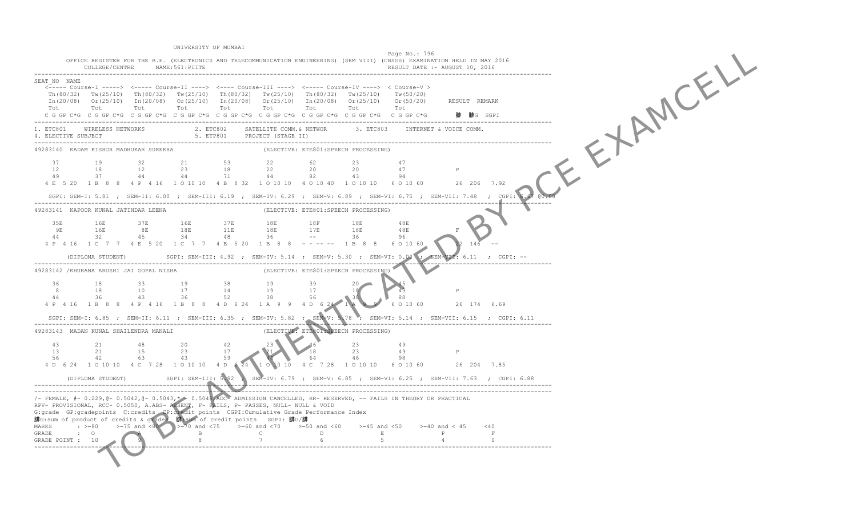TO BE A RIGHT OF BY POST OF BY POST OF BY POST OF BY POST OF BY POST OF BY POST OF BY POST OF BY POST OF BY PO<br>A RIGHT OF BY POST OF BY POST OF BY POST OF BY POST OF BY POST OF BY POST OF BY POST OF BY POST OF BY POST OF B UNIVERSITY OF MUMBAI Page No.: 796 OFFICE REGISTER FOR THE B.E. (ELECTRONICS AND TELECOMMUNICATION ENGINEERING) (SEM VIII) (CBSGS) EXAMINATION HELD IN MAY 2016 COLLEGE/CENTRE NAME:561:PIITE ------------------------------------------------------------------------------------------------------------------------------------------------- SEAT\_NO NAME <----- Course-I -----> <----- Course-II ----> <---- Course-III ----> <----- Course-IV ----> < Course-V > Th(80/32) Tw(25/10) Th(80/32) Tw(25/10) Th(80/32) Tw(25/10) Th(80/32) Tw(25/10) Tw(50/20)  $In (20/08)$  Or(25/10)  $In (20/08)$  Or(25/10)  $In (20/08)$  Or(25/10)  $In (20/08)$  Or(25/10) Or(50/20) Tot Tot Tot Tot Tot Tot Tot Tot Tot C G GP C\*G C G GP C\*G C G GP C\*G C G GP C\*G C G GP C\*G C G GP C\*G C G GP C\*G C G GP C\*G C G GP C\*G ------------------------------------------------------------------------------------------------------------------------------------------------- 1. ETC801 WIRELESS NETWORKS 2. ETC802 SATELLITE COMM.& NETWOR 3. ETC803 INTERNET & VOICE COMM.<br>4. ELECTIVE SUBJECT ------------------------------------------------------------------------------------------------------------------------------------------------- (ELECTIVE: ETE801:SPEECH PROCESSING) 37 19 32 21 53 22 62 23 47 12 18 12 23 18 22 20 20 47 P 49 37 44 44 71 44 82 43 94 4 E 5 20 1 B 8 8 4 P 4 16 1 O 10 10 4 B 8 32 1 O 10 10 4 O 10 40 1 O 10 10 10 6 6 0 10 60 SGPI: SEM-I: 5.81 ; SEM-II: 6.00 ; SEM-III: 6.19 ; SEM-IV: 6.29 ; SEM-V: 6.89 ; SEM-VI: 6.75 ; SEM-VII: 7.48 ; CGPI: 6.6 ------------------------------------------------------------------------------------------------------------------------------------------------- 49283141 KAPOOR KUNAL JATINDAR LEENA 35E 16E 37E 16E 37E 18E 18F 18E 48E 9E 16E 8E 18E 44 32 45 34 4 P 4 16 1 C 7 7 4 E 5 20 1 C 7 7 4 E 5 20 1 B 8 8 - - -- -- 1 B 8 8 6 0 10 60  $(DIPLOMA STUDENT)$  SGPI: SEM-III: 4.92 ; SEM-IV: 5.14 ; SEM-V: 5.30 ; SEM-VI: 0.00 ------------------------------------------------------------------------------------------------------------------------------------------------- 49283142 /KHURANA ARUSHI JAI GOPAL NISHA 36 18 33 19 38 19 39 20 45<br>
8 18 10 17 14 19 17 18 43 P<br>
44 36 43 36 52 38 56 38 88 4 P 4 16 1 B 8 8 4 P 4 16 1 B 8 8 4 D 6 24 1 A 9 9 4 D 6 24 1 A SGPI: SEM-I: 6.85 ; SEM-II: 6.11 ; SEM-III: 6.35 ; SEM-IV: 5.82 ; SEM-V: 5.78 ; SEM-VI: 5.14 ; SEM-VII: 6.15 ; CGPI: 6.11 ------------------------------------------------------------------------------------------------------------------------------------------------- 49283143 MADAN KUNAL SHAILENDRA MANALI 43 21 48 20 42 23 46 23 49 13 21 15 23 17 21 18 23 49 P<br>56 42 63 43 59 44 46 98 4 D 6 24 1 O 10 10 4 C 7 28 1 O 10 10 4 D 6 24 1 O 10 10 4 C 7 28 1 O 10 10 6 O 10 60 26 204 7.85 (DIPLOMA STUDENT) SGPI: SEM-III: 5.92 ; SEM-IV: 6.79 ; SEM-V: 6.85 ; SEM-VI: 6.25 ; SEM-VII: 7.63 ; CGPI: 6.88 ------------------------------------------------------------------------------------------------------------------------------------------------- ------------------------------------------------------------------------------------------------------------------------------------------------- /- FEMALE, #- 0.229,@- 0.5042,@- 0.5043,\* - 0.5045,ADC- ADMISSION CANCELLED, RR- RESERVED, -- FAILS IN THEORY OR PRACTICAL RPV- PROVISIONAL, RCC- 0.5050, A.ABS- ABSENT, F- FAILS, P- PASSES, NULL- NULL & VOID G:grade GP:gradepoints C:credits CP:credit points CGPI:Cumulative Grade Performance Index 腓G:sum of product of credits & grades 腓:sum of credit points SGPI: 腓G/腓 MARKS :  $> = 80$   $> = 75$  and  $< 80$   $> = 70$  and  $< 75$   $> = 60$  and  $< 70$   $> = 50$  and  $< 60$   $> = 45$  and  $< 50$   $> = 40$  and  $< 45$   $< 40$  GRADE POINT : 10  $\begin{array}{|l|l|l|}\n\hline\n8&7&6&5&4&0\n\end{array}$ -------------------------------------------------------------------------------------------------------------------------------------------------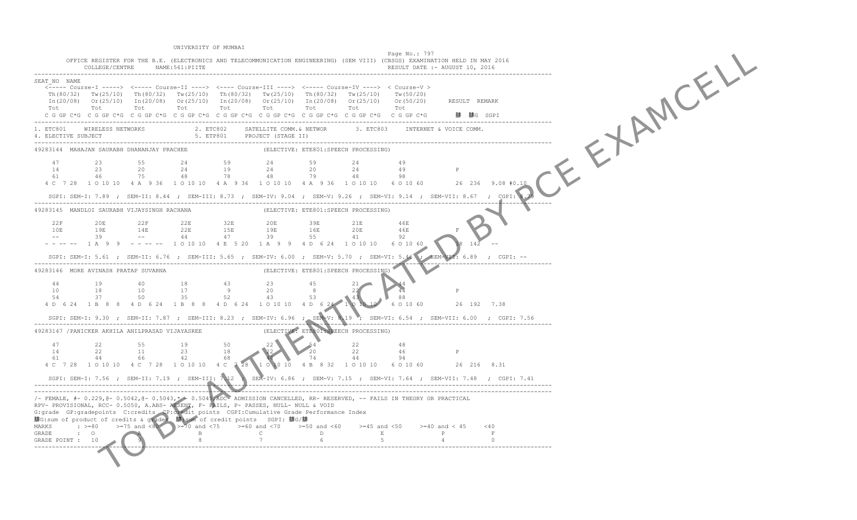TO BE A RIGHT OF BUILDING BY PORT UNIVERSITY OF MUMBAI Page No.: 797 OFFICE REGISTER FOR THE B.E. (ELECTRONICS AND TELECOMMUNICATION ENGINEERING) (SEM VIII) (CBSGS) EXAMINATION HELD IN MAY 2016 COLLEGE/CENTRE NAME: 561: PIITE ------------------------------------------------------------------------------------------------------------------------------------------------- SEAT\_NO NAME <----- Course-I -----> <----- Course-II ----> <---- Course-III ----> <----- Course-IV ----> < Course-V > Th(80/32) Tw(25/10) Th(80/32) Tw(25/10) Th(80/32) Tw(25/10) Th(80/32) Tw(25/10) Tw(50/20)  $In (20/08)$  Or(25/10)  $In (20/08)$  Or(25/10)  $In (20/08)$  Or(25/10)  $In (20/08)$  Or(25/10) Or(50/20) Tot Tot Tot Tot Tot Tot Tot Tot Tot C G GP C\*G C G GP C\*G C G GP C\*G C G GP C\*G C G GP C\*G C G GP C\*G C G GP C\*G C G GP C\*G C G GP C\*G ------------------------------------------------------------------------------------------------------------------------------------------------- 2. ETC802 SATELLITE COMM.& NETWOR 5. ETP801 PROJECT (STAGE II) ------------------------------------------------------------------------------------------------------------------------------------------------- 49283144 MAHAJAN SAURABH DHANANJAY PRACHEE 47 23 55 24 59 24 59 24 49 14 23 20 24 19 24 20 24 49 P 61 46 75 48 78 48 79 48 98 4 C 7 28 1 O 10 10 4 A 9 36 1 O 10 10 4 A 9 36 1 O 10 10 4 A 9 36 1 O 10 10 6 O 10 60 26 236 9.08 #0.10 SGPI: SEM-I: 7.89 ; SEM-II: 8.44 ; SEM-III: 8.73 ; SEM-IV: 9.04 ; SEM-V: 9.26 ; SEM-VI: 9.14 ; SEM-VII: 8.67 ; CGPI: 8.79 ------------------------------------------------------------------------------------------------------------------------------------------------- 49283145 MANDLOI SAURABH VIJAYSINGH RACHANA 22F 20E 22F 22E 32E 20E 39E 21E 46E 10E 19E 14E 22E -- 39 -- 44 47 39 55 41 92 - - -- - 1 A 9 9 - - -- - 1 O 10 10 4 E 5 20 1 A 9 9 4 D 6 24 1 O 10 10 6 O 10 60  $SGPI: SEM-I: 5.61$  ;  $SEM-II: 6.76$  ;  $SEM-III: 5.65$  ;  $SEM-IV: 6.00$  ;  $SEM-V: 5.70$  ;  $SEM-VI: 5.46$  ; ------------------------------------------------------------------------------------------------------------------------------------------------- 49283146 MORE AVINASH PRATAP SUVARNA 44 19 40 18 43 23 45 21 44 10 18 10 17 9 20 8 22 44 P<br>54 37 50 35 52 43 53 43 88 4 D 6 24 1 B 8 8 4 D 6 24 1 B 8 8 4 D 6 24 1 O 10 10 4 D 6 24 1 O 10 10 SGPI: SEM-I: 9.30 ; SEM-II: 7.87 ; SEM-III: 8.23 ; SEM-IV: 6.96 ; SEM-V: 8.19 ; SEM-VI: 6.54 ; SEM-VII: 6.00 ; CGPI: 7.56 ------------------------------------------------------------------------------------------------------------------------------------------------- 49283147 /PANICKER AKHILA ANILPRASAD VIJAYASREE 47 22 55 19 50 22 54 22 48 14 22 11 23 18 61 44 66 42 68 44 74 44 94 4 C 7 28 1 O 10 10 4 C 7 28 1 O 10 10 4 C 7 28 SGPI: SEM-I: 7.56 ; SEM-II: 7.19 ; SEM-III: 7.12 ; SEM-IV: 6.86 ; SEM-V: 7.15 ; SEM-VI: 7.64 ; SEM-VII: 7.48 ; CGPI: 7.41 ------------------------------------------------------------------------------------------------------------------------------------------------- ------------------------------------------------------------------------------------------------------------------------------------------------- /- FEMALE, #- 0.229,@- 0.5042,@- 0.5043,\* - 0.5045,ADC- ADMISSION CANCELLED, RR- RESERVED, -- FAILS IN THEORY OR PRACTICAL RPV- PROVISIONAL, RCC- 0.5050, A.ABS- ABSENT, F- FAILS, P- PASSES, NULL- NULL & VOID G:grade GP:gradepoints C:credits CP:credit points CGPI:Cumulative Grade Performance Index 腓G:sum of product of credits & grades 腓:sum of credit points SGPI: 腓G/腓 MARKS :  $>=80$   $>=75$  and  $<80$   $>=70$  and  $<75$   $>=60$  and  $<70$   $>=50$  and  $<60$   $>=45$  and  $<50$   $>=40$  and  $<45$   $<40$ <br>E P F GRADE POINT : 10 -------------------------------------------------------------------------------------------------------------------------------------------------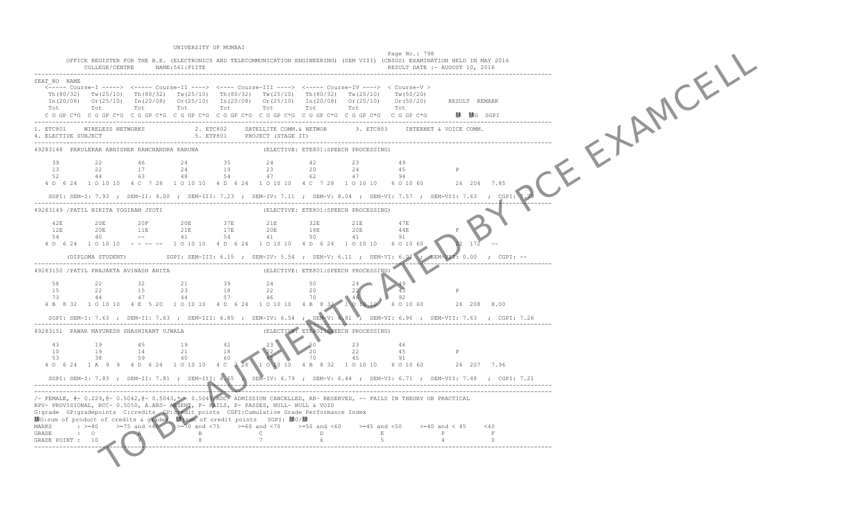TO BE ALL ALL AND REALLY UNIVERSITY OF MUMBAI Page No.: 798 OFFICE REGISTER FOR THE B.E. (ELECTRONICS AND TELECOMMUNICATION ENGINEERING) (SEM VIII) (CBSGS) EXAMINATION HELD IN MAY 2016 COLLEGE/CENTRE NAME:561:PIITE ------------------------------------------------------------------------------------------------------------------------------------------------- SEAT\_NO NAME <----- Course-I -----> <----- Course-II ----> <---- Course-III ----> <----- Course-IV ----> < Course-V > Th(80/32) Tw(25/10) Th(80/32) Tw(25/10) Th(80/32) Tw(25/10) Th(80/32) Tw(25/10) Tw(50/20)  $In (20/08)$  Or(25/10)  $In (20/08)$  Or(25/10)  $In (20/08)$  Or(25/10)  $In (20/08)$  Or(25/10) Or(50/20) Tot Tot Tot Tot Tot Tot Tot Tot Tot C G GP C\*G C G GP C\*G C G GP C\*G C G GP C\*G C G GP C\*G C G GP C\*G C G GP C\*G C G GP C\*G C G GP C\*G ------------------------------------------------------------------------------------------------------------------------------------------------- 2. ETC802 SATELLITE COMM.& NETWOR 4. ELECTIVE SUBJECT ------------------------------------------------------------------------------------------------------------------------------------------------- 49283148 PARULEKAR ABHISHEK RAMCHANDRA KARUNA 39 22 46 24 35 24 42 23 49 13 22 17 24 19 23 20 24 45 P 52 44 63 48 54 47 62 47 94 4 D 6 24 1 O 10 10 4 C 7 28 1 O 10 10 4 D 6 24 1 O 10 10 4 C 7 28 1 O 10 10 6 O 10 60 26 204 7.85 SGPI: SEM-I: 7.93 ; SEM-II: 9.00 ; SEM-III: 7.23 ; SEM-IV: 7.11 ; SEM-V: 8.04 ; SEM-VI: 7.57 ; SEM-VII: 7.63 ; CGPI: 7.79 ------------------------------------------------------------------------------------------------------------------------------------------------- 49283149 /PATIL NIKITA YOGIRAM JYOTI 42E 20E 20F 20E 37E 21E 32E 21E 47E  $12E \qquad \qquad 20E \qquad \qquad 11E \qquad \qquad 21E$  54 40 -- 41 54 41 50 41 91 4 D 6 24 1 O 10 10 - - - - - 1 O 10 10 4 D 6 24 1 O 10 10 10 10 10 10 10 10 6 O 10 60 (DIPLOMA STUDENT) SGPI: SEM-III: 6.15 ; SEM-IV: 5.54 ; SEM-V: 6.11 ; SEM-VI: 6.07 ------------------------------------------------------------------------------------------------------------------------------------------------- 49283150 /PATIL PRAJAKTA AVINASH ANITA 58 22 32 21 39 24 50 24 49 15 22 15 23 18 22 20 22 43 P  $73 \t 44 \t 47 \t 44$ 4 B 8 32 1 O 10 10 4 E 5 20 1 O 10 10 4 D 6 24 1 O 10 10 4 B 8 32 1 O 10 10 SGPI: SEM-I: 7.63 ; SEM-II: 7.63 ; SEM-III: 6.85 ; SEM-IV: 6.54 ; SEM-V: 6.81 ; SEM-VI: 6.96 ; SEM-VII: 7.63 ; CGPI: 7.26 ------------------------------------------------------------------------------------------------------------------------------------------------- 49283151 PAWAR MAYURESH SHASHIKANT UJWALA 43 19 45 19 42 23 50 23 46 10 19 14 21 18 22 20 22 45 P<br>53 38 59 40 60 70 45 91 1 0 10 10 4 B 8 32 1 0 10 10 6 0 10 60 26 207 7.96 SGPI: SEM-I: 7.83 ; SEM-II: 7.81 ; SEM-III: 6.65 ; SEM-IV: 6.79 ; SEM-V: 6.44 ; SEM-VI: 6.71 ; SEM-VII: 7.48 ; CGPI: 7.21 ------------------------------------------------------------------------------------------------------------------------------------------------- ------------------------------------------------------------------------------------------------------------------------------------------------- /- FEMALE, #- 0.229,@- 0.5042,@- 0.5043,\* - 0.5045,ADC- ADMISSION CANCELLED, RR- RESERVED, -- FAILS IN THEORY OR PRACTICAL RPV- PROVISIONAL, RCC- 0.5050, A.ABS- ABSENT, F- FAILS, P- PASSES, NULL- NULL & VOID G:grade GP:gradepoints C:credits CP:credit points CGPI:Cumulative Grade Performance Index 腓G:sum of product of credits & grades 腓:sum of credit points SGPI: 腓G/腓 MARKS :  $>=80$   $>=75$  and  $<80$   $>=70$  and  $<75$   $>=60$  and  $<70$   $>=50$  and  $<60$   $>=45$  and  $<50$   $>=40$  and  $<45$   $<40$ <br>E P F GRADE POINT : 10 -------------------------------------------------------------------------------------------------------------------------------------------------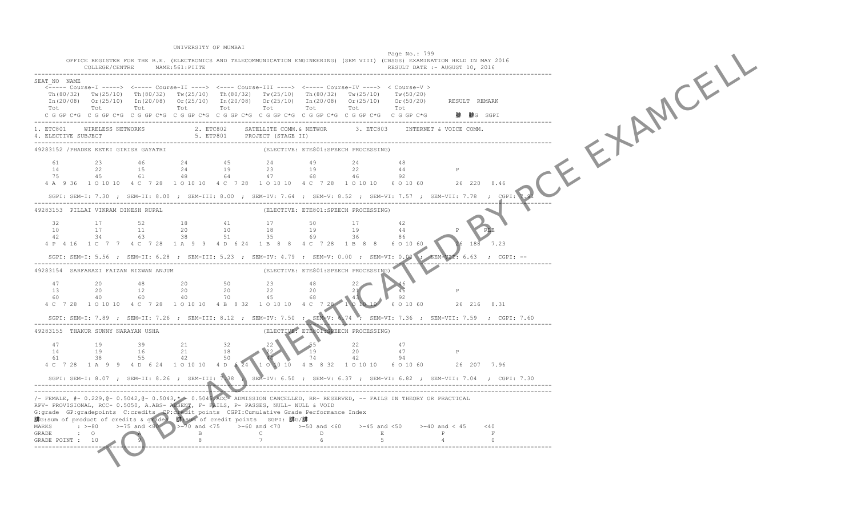TO BE A RIGHT OF BUILDING UNIVERSITY OF MUMBAI Page No.: 799 OFFICE REGISTER FOR THE B.E. (ELECTRONICS AND TELECOMMUNICATION ENGINEERING) (SEM VIII) (CBSGS) EXAMINATION HELD IN MAY 2016 COLLEGE/CENTRE NAME:561:PIITE ------------------------------------------------------------------------------------------------------------------------------------------------- SEAT\_NO NAME <----- Course-I -----> <----- Course-II ----> <---- Course-III ----> <----- Course-IV ----> < Course-V > Th(80/32) Tw(25/10) Th(80/32) Tw(25/10) Th(80/32) Tw(25/10) Th(80/32) Tw(25/10) Tw(50/20)  $In (20/08)$  Or(25/10)  $In (20/08)$  Or(25/10)  $In (20/08)$  Or(25/10)  $In (20/08)$  Or(25/10) Or(50/20) Tot Tot Tot Tot Tot Tot Tot Tot Tot C G GP C\*G C G GP C\*G C G GP C\*G C G GP C\*G C G GP C\*G C G GP C\*G C G GP C\*G C G GP C\*G C G GP C\*G ------------------------------------------------------------------------------------------------------------------------------------------------- 1. ETC801 WIRELESS NETWORKS 2. ETC802 SATELLITE COMM.& NETWOR 3. ETC803 INTERNET & VOICE COMM.<br>4. ELECTIVE SUBJECT ------------------------------------------------------------------------------------------------------------------------------------------------- 49283152 /PHADKE KETKI GIRISH GAYATRI 61 23 46 24 45 24 49 24 48 14 22 15 24 19 23 19 22 44 P 75 45 61 48 64 47 68 46 92 4 A 9 36 1 O 10 10 4 C 7 28 1 O 10 10 4 C 7 28 1 O 10 10 4 C 7 28 1 O 10 10 6 O 10 60 26 220 8.46 SGPI: SEM-I: 7.30 ; SEM-II: 8.00 ; SEM-III: 8.00 ; SEM-IV: 7.64 ; SEM-V: 8.52 ; SEM-VI: 7.57 ; SEM-VII: 7.78 ; CGPI: 7.91 ------------------------------------------------------------------------------------------------------------------------------------------------- 49283153 PILLAI VIKRAM DINESH RUPAL 32 17 52 18 41 17 50 17 42 10 17 11 20 10 18 19 19 44 P RLE 42 34 63 38 4 P 4 16 1 C 7 7 4 C 7 28 1 A 9 9 4 D 6 24 1 B 8 8 4 C 7 28 1 B 8 8 6 0 10 60  $SGPI: SEM-I: 5.56$  ;  $SEM-II: 6.28$  ;  $SEM-III: 5.23$  ;  $SEM=IV: 4.79$  ;  $SEM-V: 0.00$  ;  $SEM=VI: 0.00$  ; ------------------------------------------------------------------------------------------------------------------------------------------------- 49283154 SARFARAZI FAIZAN RIZWAN ANJUM 47 20 48 20 50 23 48 22 46 13 20 12 20 20 22 20 21 46 P 60 40 60 40 70 45 68 43 92 4 C 7 28 1 O 10 10 4 C 7 28 1 O 10 10 4 B 8 32 1 O 10 10 4 C 7 28 1 0 10 10 SGPI: SEM-I: 7.89 ; SEM-II: 7.26 ; SEM-III: 8.12 ; SEM-IV: 7.50 ; SEM-V: 6.74 ; SEM-VI: 7.36 ; SEM-VII: 7.59 ; CGPI: 7.60 ------------------------------------------------------------------------------------------------------------------------------------------------- (ELECTIVE: ETE801:SPEECH PROCESSING) 47 19 39 21 32 22 55 22 47 14 19 16 21 18 22 19 20 47 P<br>61 38 55 42 50 44 74 42 94 1 0 10 10 4 B 8 32 1 0 10 10 6 0 10 60 26 207 7.96 SGPI: SEM-I: 8.07 ; SEM-II: 8.26 ; SEM-III: 7.38 ; SEM-IV: 6.50 ; SEM-V: 6.37 ; SEM-VI: 6.82 ; SEM-VII: 7.04 ; CGPI: 7.30 ------------------------------------------------------------------------------------------------------------------------------------------------- ------------------------------------------------------------------------------------------------------------------------------------------------- /- FEMALE, #- 0.229,@- 0.5042,@- 0.5043,\* - 0.5045,ADC- ADMISSION CANCELLED, RR- RESERVED, -- FAILS IN THEORY OR PRACTICAL RPV- PROVISIONAL, RCC- 0.5050, A.ABS- ABSENT, F- FAILS, P- PASSES, NULL- NULL & VOID G:grade GP:gradepoints C:credits CP:credit points CGPI:Cumulative Grade Performance Index 腓G:sum of product of credits & grades 腓:sum of credit points SGPI: 腓G/腓 MARKS :  $>=80$   $>=75$  and  $<80$   $>=70$  and  $<75$   $>=60$  and  $<70$   $>=50$  and  $<60$   $>=45$  and  $<50$   $>=40$  and  $<45$   $<40$ <br>E P F  $\begin{array}{ccccccc} \text{C} & \text{C} & \text{C} & \text{C} & \text{C} & \text{C} & \text{C} & \text{D} & \text{D} & \text{E} \\ \text{B} & \text{C} & \text{D} & \text{E} & \text{E} & \text{E} & \text{E} \\ \text{B} & \text{C} & \text{D} & \text{E} & \text{E} & \text{E} & \text{E} & \text{E} & \text{E} \\ \end{array}$ -------------------------------------------------------------------------------------------------------------------------------------------------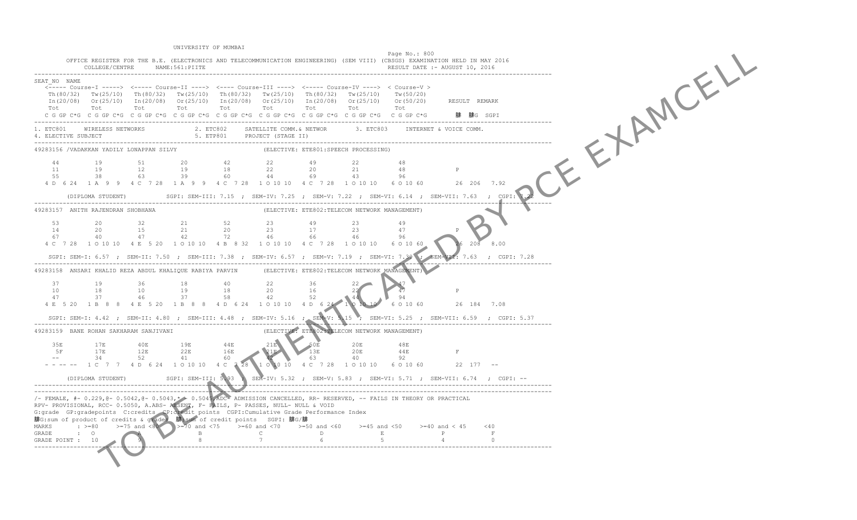TO BE A RIGHT OF BUILDING UNIVERSITY OF MUMBAI Page No.: 800 OFFICE REGISTER FOR THE B.E. (ELECTRONICS AND TELECOMMUNICATION ENGINEERING) (SEM VIII) (CBSGS) EXAMINATION HELD IN MAY 2016 COLLEGE/CENTRE NAME:561:PIITE ------------------------------------------------------------------------------------------------------------------------------------------------- SEAT\_NO NAME <----- Course-I -----> <----- Course-II ----> <---- Course-III ----> <----- Course-IV ----> < Course-V > Th(80/32) Tw(25/10) Th(80/32) Tw(25/10) Th(80/32) Tw(25/10) Th(80/32) Tw(25/10) Tw(50/20)  $In (20/08)$  Or(25/10)  $In (20/08)$  Or(25/10)  $In (20/08)$  Or(25/10)  $In (20/08)$  Or(25/10) Or(50/20) Tot Tot Tot Tot Tot Tot Tot Tot Tot C G GP C\*G C G GP C\*G C G GP C\*G C G GP C\*G C G GP C\*G C G GP C\*G C G GP C\*G C G GP C\*G C G GP C\*G ------------------------------------------------------------------------------------------------------------------------------------------------- 1. ETC801 WIRELESS NETWORKS 2. ETC802 SATELLITE COMM.& NETWOR 3. ETC803 INTERNET & VOICE COMM.<br>4. ELECTIVE SUBJECT ------------------------------------------------------------------------------------------------------------------------------------------------- 49283156 /VADAKKAN YADILY LONAPPAN SILVY 44 19 51 20 42 22 49 22 48 11 19 12 19 18 22 20 21 48 P 55 38 63 39 60 44 69 43 96 4 D 6 24 1 A 9 9 4 C 7 28 1 A 9 9 4 C 7 28 1 O 10 10 4 C 7 28 1 O 10 10 6 O 10 60 26 206 7.92 (DIPLOMA STUDENT) SGPI: SEM-III: 7.15 ; SEM-IV: 7.25 ; SEM-V: 7.22 ; SEM-VI: 6.14 ; SEM-VII: 7.63 ; CGPI: 7.22 ------------------------------------------------------------------------------------------------------------------------------------------------- (ELECTIVE: ETE802:TELECOM NETWORK MANAGEMENT) 53 20 32 21 52 23 49 23 49 14 20 15<br>67 40 47 40 47 4 C 7 28 1 O 10 10 4 E 5 20 1 O 10 10 4 B 8 32 1 O 10 10 4 C 7 28 1 O 10 10 6 O 10 60 SGPI: SEM-I: 6.57 ; SEM-II: 7.50 ; SEM-III: 7.38 ; SEM-IV: 6.57 ; SEM-V: 7.19 ; SEM-VI: 7.39 ; ------------------------------------------------------------------------------------------------------------------------------------------------- 49283158 ANSARI KHALID REZA ABDUL KHALIQUE RABIYA PARVIN (ELECTIVE: ETE802:TELECOM NETWORK MANAGEMENT) 37 19 36 18 40 22 36 22 47 10 18 10 19 18 20 16 22 47 P<br>47 37 46 37 58 42 52 44 94 4 E 5 20 1 B 8 8 4 E 5 20 1 B 8 8 4 D 6 24 1 O 10 10 4 D 6 24 1 O 10 SGPI: SEM-I: 4.42 ; SEM-II: 4.80 ; SEM-III: 4.48 ; SEM-IV: 5.16 ; SEM-V: 5.15 ; SEM-VI: 5.25 ; SEM-VII: 6.59 ; CGPI: 5.37 ------------------------------------------------------------------------------------------------------------------------------------------------- (ELECTIVE: ETE802:TELECOM NETWORK MANAGEMENT) 35E 17E 40E 19E 44E 21E 50E 20E 48E 5F 17E  $-$  34 52 41 60 42 63 40 92 1 0 10 10 4 C 7 28 1 O 10 10 6 O 10 60 22 177 -- (DIPLOMA STUDENT) SGPI: SEM-III: 5.93 ; SEM-IV: 5.32 ; SEM-V: 5.83 ; SEM-VI: 5.71 ; SEM-VII: 6.74 ; CGPI: -- ------------------------------------------------------------------------------------------------------------------------------------------------- ------------------------------------------------------------------------------------------------------------------------------------------------- /- FEMALE, #- 0.229,@- 0.5042,@- 0.5043,\* - 0.5045,ADC- ADMISSION CANCELLED, RR- RESERVED, -- FAILS IN THEORY OR PRACTICAL RPV- PROVISIONAL, RCC- 0.5050, A.ABS- ABSENT, F- FAILS, P- PASSES, NULL- NULL & VOID G:grade GP:gradepoints C:credits CP:credit points CGPI:Cumulative Grade Performance Index 腓G:sum of product of credits & grades 腓:sum of credit points SGPI: 腓G/腓 MARKS :  $>=80$   $>=75$  and  $<80$   $>=70$  and  $<75$   $>=60$  and  $<70$   $>=50$  and  $<60$   $>=45$  and  $<50$   $>=40$  and  $<45$   $<40$ <br>E P F GRADE POINT : 10 -------------------------------------------------------------------------------------------------------------------------------------------------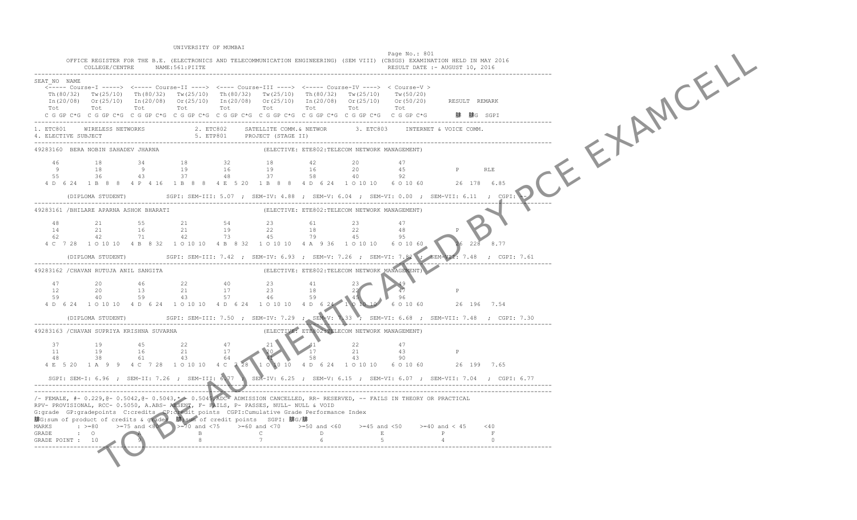TO BE A RIGHT OF BUILDING UNIVERSITY OF MUMBAI Page No.: 801 OFFICE REGISTER FOR THE B.E. (ELECTRONICS AND TELECOMMUNICATION ENGINEERING) (SEM VIII) (CBSGS) EXAMINATION HELD IN MAY 2016 COLLEGE/CENTRE NAME:561:PIITE ------------------------------------------------------------------------------------------------------------------------------------------------- SEAT\_NO NAME <----- Course-I -----> <----- Course-II ----> <---- Course-III ----> <----- Course-IV ----> < Course-V > Th(80/32) Tw(25/10) Th(80/32) Tw(25/10) Th(80/32) Tw(25/10) Th(80/32) Tw(25/10) Tw(50/20) In(20/08) Or(25/10) In(20/08) Or(25/10) In(20/08) Or(25/10) In(20/08) Or(25/10) Or(50/20) RESULT REMARK Tot Tot Tot Tot Tot Tot Tot Tot Tot  $5*5$  G GP C\*G C G GP C\*G C G GP C\*G C G GP C\*G C G GP C\*G C G GP C\*G C G GP C\*G C G GP C\*G  $\pm$  G  $\pm$  G  $\pm$  G  $\pm$  G  $\pm$  G  $\pm$  G  $\pm$  G  $\pm$  G  $\pm$  G  $\pm$  G  $\pm$  G  $\pm$  G  $\pm$  G  $\pm$  G  $\pm$  G  $\pm$  G  $\pm$  G  $\pm$  G  $\pm$ ------------------------------------------------------------------------------------------------------------------------------------------------- 1. ETC801 WIRELESS NETWORKS 2. ETC802 SATELLITE COMM.& NETWOR 3. ETC803 INTERNET & VOICE COMM.<br>4. ELECTIVE SUBJECT ------------------------------------------------------------------------------------------------------------------------------------------------- (ELECTIVE: ETE802:TELECOM NETWORK MANAGEMENT) 46 18 34 18 32 18 42 20 47 9 18 9 19 16 19 16 20 45 P RLE  $55$   $36$   $43$   $37$ 4 D 6 24 1 B 8 8 4 P 4 16 1 B 8 8 4 E 5 20 1 B 8 8 4 D 6 24 1 0 10 10 6 6 0 10 60 (DIPLOMA STUDENT) SGPI: SEM-III: 5.07 ; SEM-IV: 4.88 ; SEM-V: 6.04 ; SEM-VI: 0.00 ; SEM-VII: 6.11 ; CGPI: -- ------------------------------------------------------------------------------------------------------------------------------------------------- (ELECTIVE: ETE802:TELECOM NETWORK MANAGEMENT) 48 21 55 21 54 23 61 23 47 14 21 16 21 62 42 71 42 4 C 7 28 1 O 10 10 4 B 8 32 1 O 10 10 4 B 8 32 1 O 10 10 4 A 9 36 1 O 10 10 6 O 10 60 26 228 8.77 (DIPLOMA STUDENT) SGPI: SEM-III: 7.42 ; SEM-IV: 6.93 ; SEM-V: 7.26 ; SEM-VI: 7.82 ------------------------------------------------------------------------------------------------------------------------------------------------- (ELECTIVE: ETE802:TELECOM NETWORK MANAGEMENT) 47 20 46 22 40 23 41 23 49<br>
12 20 13 21 17 23 18 22 47 P<br>
59 40 59 43 57 46 59 45 96 4 D 6 24 1 O 10 10 4 D 6 24 1 O 10 10 4 D 6 24 1 O 10 10 4 D 6 24 1 O 10 10 (DIPLOMA STUDENT) SGPI: SEM-III: 7.50 ; SEM-IV: 7.29 ; SEM-V: 7.33 ; SEM-VI: 6.68 ; SEM-VII: 7.48 ; CGPI: 7.30 ------------------------------------------------------------------------------------------------------------------------------------------------- (ELECTIVE: ETE802:TELECOM NETWORK MANAGEMENT) 37 19 45 22 47 21 41 22 47 11 19 16 21 17 20 17 21 43 P<br>48 38 61 43 64 58 43 90 1 0 10 10 4 D 6 24 1 O 10 10 6 O 10 60 26 199 7.65 SGPI: SEM-I: 6.96 ; SEM-II: 7.26 ; SEM-III: 6.77 ; SEM-IV: 6.25 ; SEM-V: 6.15 ; SEM-VI: 6.07 ; SEM-VII: 7.04 ; CGPI: 6.77 ------------------------------------------------------------------------------------------------------------------------------------------------- ------------------------------------------------------------------------------------------------------------------------------------------------- /- FEMALE, #- 0.229,@- 0.5042,@- 0.5043,\* - 0.5045,ADC- ADMISSION CANCELLED, RR- RESERVED, -- FAILS IN THEORY OR PRACTICAL RPV- PROVISIONAL, RCC- 0.5050, A.ABS- ABSENT, F- FAILS, P- PASSES, NULL- NULL & VOID G:grade GP:gradepoints C:credits CP:credit points CGPI:Cumulative Grade Performance Index 腓G:sum of product of credits & grades 腓:sum of credit points SGPI: 腓G/腓 MARKS : >=80 >=75 and <80 >=70 and <75 >=60 and <70 >=50 and <60 >=45 and <50 >=40 and < 45 <40 GRADE : O A B C D E P F GRADE POINT : 10 9 8 7 6 5 4 0 -------------------------------------------------------------------------------------------------------------------------------------------------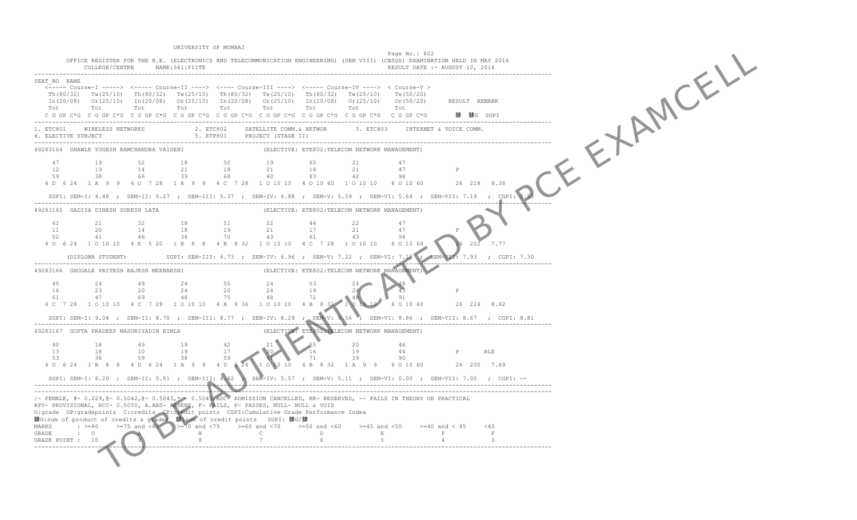TO BE A RIGHT OF BUILDING UNIVERSITY OF MUMBAI Page No.: 802 OFFICE REGISTER FOR THE B.E. (ELECTRONICS AND TELECOMMUNICATION ENGINEERING) (SEM VIII) (CBSGS) EXAMINATION HELD IN MAY 2016 COLLEGE/CENTRE NAME:561:PIITE ------------------------------------------------------------------------------------------------------------------------------------------------- SEAT\_NO NAME <----- Course-I -----> <----- Course-II ----> <---- Course-III ----> <----- Course-IV ----> < Course-V > Th(80/32) Tw(25/10) Th(80/32) Tw(25/10) Th(80/32) Tw(25/10) Th(80/32) Tw(25/10) Tw(50/20)  $In (20/08)$  Or(25/10)  $In (20/08)$  Or(25/10)  $In (20/08)$  Or(25/10)  $In (20/08)$  Or(25/10) Or(50/20) Tot Tot Tot Tot Tot Tot Tot Tot Tot C G GP C\*G C G GP C\*G C G GP C\*G C G GP C\*G C G GP C\*G C G GP C\*G C G GP C\*G C G GP C\*G C G GP C\*G ------------------------------------------------------------------------------------------------------------------------------------------------- 1. ETC801 WIRELESS NETWORKS 2. ETC802 SATELLITE COMM.& NETWOR 3. ETC803 INTERNET & VOICE COMM.<br>4. ELECTIVE SUBJECT ------------------------------------------------------------------------------------------------------------------------------------------------- (ELECTIVE: ETE802:TELECOM NETWORK MANAGEMENT) 47 19 52 18 50 19 65 21 47 12 19 14 21 18 21 18 21 47 P 59 38 66 39 68 40 83 42 94 4 D 6 24 1 A 9 9 4 C 7 28 1 A 9 9 4 C 7 28 1 O 10 10 4 O 10 40 1 O 10 10 6 O 10 60 26 218 8.38 SGPI: SEM-I: 4.48 ; SEM-II: 5.27 ; SEM-III: 5.37 ; SEM-IV: 4.88 ; SEM-V: 5.59 ; SEM-VI: 5.64 ; SEM-VII: 7.19 ; CGPI: 5.85 ------------------------------------------------------------------------------------------------------------------------------------------------- (ELECTIVE: ETE802:TELECOM NETWORK MANAGEMENT) 41 21 32 18 51 22 44 22 47 11 20 14 18 19 21 17 21 47 P 52 41 46 4 D 6 24 1 O 10 10 4 E 5 20 1 B 8 8 4 B 8 32 1 O 10 10 4 C 7 28 1 O 10 10 6 O 10 60 26 202 7.77  $(DIPLOMA STUDENT)$  SGPI: SEM-III: 6.73 ; SEM-IV: 6.96 ; SEM-V: 7.22 ; SEM-VI: 7.18 ------------------------------------------------------------------------------------------------------------------------------------------------- (ELECTIVE: ETE802:TELECOM NETWORK MANAGEMENT) 45 24 49 24 55 24 53 24 48 16 23 20 24 20 24 19 24 43 P 61 47 69 48 75 48 72 48 91 4 C 7 28 1 O 10 10 4 C 7 28 1 O 10 10 4 A 9 36 1 O 10 10 4 B 8 32 1 0 10 SGPI: SEM-I: 9.04 ; SEM-II: 8.70 ; SEM-III: 8.77 ; SEM-IV: 8.29 ; SEM-V: 9.56 ; SEM-VI: 8.86 ; SEM-VII: 8.67 ; CGPI: 8.81 ------------------------------------------------------------------------------------------------------------------------------------------------- (ELECTIVE: ETE802:TELECOM NETWORK MANAGEMENT) 40 18 49 19 42 21 55 20 46 13 18 10 19 17 20 16 19 44 P RLE<br>53 36 59 38 59 71 39 90 1 0 10 10 4 B 8 32 1 A 9 9 6 0 10 60 26 200 7.69 SGPI: SEM-I: 6.20 ; SEM-II: 5.81 ; SEM-III: 4.62 ; SEM-IV: 5.57 ; SEM-V: 5.11 ; SEM-VI: 0.00 ; SEM-VII: 7.00 ; CGPI: -- ------------------------------------------------------------------------------------------------------------------------------------------------- ------------------------------------------------------------------------------------------------------------------------------------------------- /- FEMALE, #- 0.229,@- 0.5042,@- 0.5043,\* - 0.5045,ADC- ADMISSION CANCELLED, RR- RESERVED, -- FAILS IN THEORY OR PRACTICAL RPV- PROVISIONAL, RCC- 0.5050, A.ABS- ABSENT, F- FAILS, P- PASSES, NULL- NULL & VOID G:grade GP:gradepoints C:credits CP:credit points CGPI:Cumulative Grade Performance Index 腓G:sum of product of credits & grades 腓:sum of credit points SGPI: 腓G/腓 MARKS :  $>=80$   $>=75$  and  $<80$   $>=70$  and  $<75$   $>=60$  and  $<70$   $>=50$  and  $<60$   $>=45$  and  $<50$   $>=40$  and  $<45$   $<40$ <br>E P F  $\begin{array}{ccccccc} \text{S} & \text{S} & \text{S} & \text{S} & \text{S} & \text{S} & \text{S} & \text{S} & \text{S} & \text{S} & \text{S} & \text{S} & \text{S} & \text{S} & \text{S} & \text{S} & \text{S} & \text{S} & \text{S} & \text{S} & \text{S} & \text{S} & \text{S} & \text{S} & \text{S} & \text{S} & \text{S} & \text{S} & \text{S} & \text{S} & \text{S} & \text{S} & \text{S} & \text{S} & \text{S} & \text$ -------------------------------------------------------------------------------------------------------------------------------------------------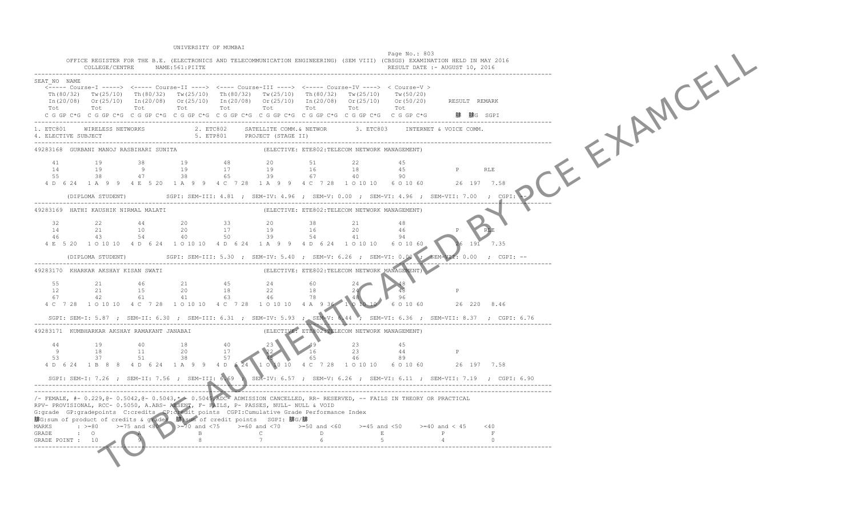TO BE A RIGHT OF BUILDING UNIVERSITY OF MUMBAI Page No.: 803 OFFICE REGISTER FOR THE B.E. (ELECTRONICS AND TELECOMMUNICATION ENGINEERING) (SEM VIII) (CBSGS) EXAMINATION HELD IN MAY 2016 COLLEGE/CENTRE NAME:561:PIITE ------------------------------------------------------------------------------------------------------------------------------------------------- SEAT\_NO NAME <----- Course-I -----> <----- Course-II ----> <---- Course-III ----> <----- Course-IV ----> < Course-V > Th(80/32) Tw(25/10) Th(80/32) Tw(25/10) Th(80/32) Tw(25/10) Th(80/32) Tw(25/10) Tw(50/20) In(20/08) Or(25/10) In(20/08) Or(25/10) In(20/08) Or(25/10) In(20/08) Or(25/10) Or(50/20) RESULT REMARK Tot Tot Tot Tot Tot Tot Tot Tot Tot C G GP C\*G C G GP C\*G C G GP C\*G C G GP C\*G C G GP C\*G C G GP C\*G C G GP C\*G C G GP C\*G C G GP C\*G ------------------------------------------------------------------------------------------------------------------------------------------------- 1. ETC801 WIRELESS NETWORKS 2. ETC802 SATELLITE COMM.& NETWOR 3. ETC803 INTERNET & VOICE COMM.<br>4. ELECTIVE SUBJECT ------------------------------------------------------------------------------------------------------------------------------------------------- (ELECTIVE: ETE802:TELECOM NETWORK MANAGEMENT) 41 19 38 19 48 20 51 22 45 14 19 9 19 17 19 16 18 45 P RLE 55 38 47 38 65 39 67 40 90 4 D 6 24 1 A 9 9 4 E 5 20 1 A 9 9 4 C 7 28 1 A 9 9 4 C 7 28 1 O 10 10 6 0 10 60  $(DIPLOMA STUDENT)$   $SGPI: SEM-III: 4.81$  ;  $SEM-IV: 4.96$  ;  $SEM-V: 0.00$  ;  $SEM-VI: 4.96$  ;  $SEM-VII: 7.00$  ;  $CGPI: 'T.00'$ ------------------------------------------------------------------------------------------------------------------------------------------------- (ELECTIVE: ETE802:TELECOM NETWORK MANAGEMENT) 32 22 44 20 33 20 38 21 48 14 21 10 20 46 43 54 40 4 E 5 20 1 O 10 10 10 4 D 6 24 1 O 10 10 10 4 D 6 24 1 A 9 9 4 D 6 24 1 O 10 10 10 6 O 10 60  $(DIPLOMA STUDENT)$  SGPI: SEM-III: 5.30 ; SEM-IV: 5.40 ; SEM-V: 6.26 ; SEM-VI: 0.00 ------------------------------------------------------------------------------------------------------------------------------------------------- (ELECTIVE: ETE802:TELECOM NETWORK MANAGEMENT) 55 21 46 21 45 24 60 24 48 12 21 15 20 18 22 18 24 48 P 67 42 61 41 63 46 78 48 96 4 C 7 28 1 O 10 10 4 C 7 28 1 O 10 10 4 C 7 28 1 O 10 10 4 A 9 36 1 0 10 SGPI: SEM-I: 5.87 ; SEM-II: 6.30 ; SEM-III: 6.31 ; SEM-IV: 5.93 ; SEM-V: 6.44 ; SEM-VI: 6.36 ; SEM-VII: 8.37 ; CGPI: 6.76 ------------------------------------------------------------------------------------------------------------------------------------------------- 49283171 KUMBHARKAR AKSHAY RAMAKANT JANABAI 44 19 40 18 40 23 49 23 45 9 18 11 20 17 22 16 23 44 P<br>53 37 51 38 57 65 46 89 1 0 10 10 4 C 7 28 1 O 10 10 6 O 10 60 26 197 7.58 SGPI: SEM-I: 7.26 ; SEM-II: 7.56 ; SEM-III: 6.69 ; SEM-IV: 6.57 ; SEM-V: 6.26 ; SEM-VI: 6.11 ; SEM-VII: 7.19 ; CGPI: 6.90 ------------------------------------------------------------------------------------------------------------------------------------------------- ------------------------------------------------------------------------------------------------------------------------------------------------- /- FEMALE, #- 0.229,@- 0.5042,@- 0.5043,\* - 0.5045,ADC- ADMISSION CANCELLED, RR- RESERVED, -- FAILS IN THEORY OR PRACTICAL RPV- PROVISIONAL, RCC- 0.5050, A.ABS- ABSENT, F- FAILS, P- PASSES, NULL- NULL & VOID G:grade GP:gradepoints C:credits CP:credit points CGPI:Cumulative Grade Performance Index 腓G:sum of product of credits & grades 腓:sum of credit points SGPI: 腓G/腓 MARKS :  $>=80$   $>=75$  and  $<80$   $>=70$  and  $<75$   $>=60$  and  $<70$   $>=50$  and  $<60$   $>=45$  and  $<50$   $>=40$  and  $<45$   $<40$ <br>E P F GRADE POINT AND A 10  $\rightarrow$  2 5 0 and  $\lt 60$   $\gt = 45$  and  $\lt 50$   $\gt = 40$  and  $\lt 45$ <br>B C D E -------------------------------------------------------------------------------------------------------------------------------------------------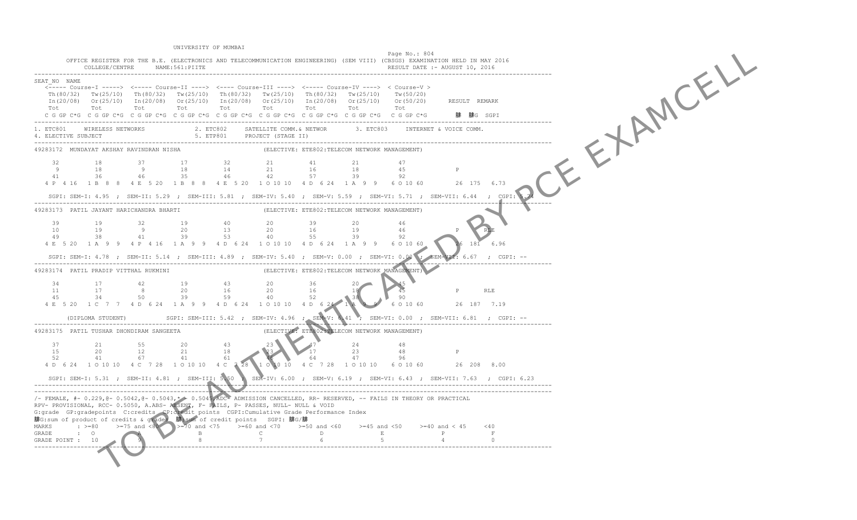TO BE A RIGHT OF BY PORT OF A RIGHT OF BUILDING BY PORT OF A RIGHT OF BUILDING BY PORT OF A RIGHT OF BUILDING BY PORT OF A RIGHT OF A RIGHT OF A RIGHT OF A RIGHT OF A RIGHT OF A RIGHT OF A RIGHT OF A RIGHT OF A RIGHT OF A UNIVERSITY OF MUMBAI Page No.: 804 OFFICE REGISTER FOR THE B.E. (ELECTRONICS AND TELECOMMUNICATION ENGINEERING) (SEM VIII) (CBSGS) EXAMINATION HELD IN MAY 2016 COLLEGE/CENTRE NAME:561:PIITE ------------------------------------------------------------------------------------------------------------------------------------------------- SEAT\_NO NAME <----- Course-I -----> <----- Course-II ----> <---- Course-III ----> <----- Course-IV ----> < Course-V > Th(80/32) Tw(25/10) Th(80/32) Tw(25/10) Th(80/32) Tw(25/10) Th(80/32) Tw(25/10) Tw(50/20) In(20/08) Or(25/10) In(20/08) Or(25/10) In(20/08) Or(25/10) In(20/08) Or(25/10) Or(50/20) RESULT REMARK Tot Tot Tot Tot Tot Tot Tot Tot Tot C G GP C\*G C G GP C\*G C G GP C\*G C G GP C\*G C G GP C\*G C G GP C\*G C G GP C\*G C G GP C\*G C G GP C\*G ------------------------------------------------------------------------------------------------------------------------------------------------- 1. ETC801 WIRELESS NETWORKS 2. ETC802 SATELLITE COMM.& NETWOR 3. ETC803 INTERNET & VOICE COMM.<br>4. ELECTIVE SUBJECT ------------------------------------------------------------------------------------------------------------------------------------------------- (ELECTIVE: ETE802:TELECOM NETWORK MANAGEMENT) 32 18 37 17 32 21 41 21 47 9 18 9 18 14 21 16 18 45 P 41 36 46 35 46 42 57 39 92 4 P 4 16 1 B 8 8 4 E 5 20 1 B 8 8 4 E 5 20 1 O 10 10 4 D 6 24 1 A 9 9 6 0 10 60 SGPI: SEM-I: 4.95 ; SEM-II: 5.29 ; SEM-III: 5.81 ; SEM-IV: 5.40 ; SEM-V: 5.59 ; SEM-VI: 5.71 ; SEM-VII: 6.44 ; CGPI: 5.74 ------------------------------------------------------------------------------------------------------------------------------------------------- (ELECTIVE: ETE802:TELECOM NETWORK MANAGEMENT) 39 19 32 19 40 20 39 20 46 10 19 9 20 13 20 16 19 46 P RLE 49 38 41 39 53 40 55 39 92 4 E 5 20 1 A 9 9 4 P 4 16 1 A 9 9 4 D 6 24 1 O 10 10 4 D 6 24 1 A 9 9 6 O 10 60 26 181 6.96  $SGPI: SEM-I: 4.78$  ;  $SEM-II: 5.14$  ;  $SEM-III: 4.89$  ;  $SEM-IV: 5.40$  ;  $SEM-V: 0.00$  ;  $SEM-VI: 0.00$  ; ------------------------------------------------------------------------------------------------------------------------------------------------- (ELECTIVE: ETE802:TELECOM NETWORK MANAGEMENT) 34 17 42 19 43 20 36 20 45 11 17 8 20 16 20 16 18 18 45 P RLE<br>45 34 50 39 59 40 52 38 90 4 E 5 20 1 C 7 7 4 D 6 24 1 A 9 9 4 D 6 24 1 0 10 10 4 D 6 24 1 A SGPI: SEM-III: 5.42 ; SEM-IV: 4.96 ; SEM-V: 6.41 ; SEM-VI: 0.00 ; SEM-VII: 6.81 ; CGPI: --------------------------------------------------------------------------------------------------------------------------------------------------- (ELECTIVE: ETE802:TELECOM NETWORK MANAGEMENT) 37 21 55 20 43 23 47 24 48 15 20 12 21 18 23 17 23 48 P<br>52 41 67 41 61 64 47 96 4 D 6 24 1 O 10 10 4 C 7 28 1 O 10 10 4 C 7 28 1 O 10 10 4 C 7 28 1 O 10 10 6 O 10 60 26 208 8.00 SGPI: SEM-I: 5.31 ; SEM-II: 4.81 ; SEM-III: 5.50 ; SEM-IV: 6.00 ; SEM-V: 6.19 ; SEM-VI: 6.43 ; SEM-VII: 7.63 ; CGPI: 6.23 ------------------------------------------------------------------------------------------------------------------------------------------------- ------------------------------------------------------------------------------------------------------------------------------------------------- /- FEMALE, #- 0.229,@- 0.5042,@- 0.5043,\* - 0.5045,ADC- ADMISSION CANCELLED, RR- RESERVED, -- FAILS IN THEORY OR PRACTICAL RPV- PROVISIONAL, RCC- 0.5050, A.ABS- ABSENT, F- FAILS, P- PASSES, NULL- NULL & VOID G:grade GP:gradepoints C:credits CP:credit points CGPI:Cumulative Grade Performance Index 腓G:sum of product of credits & grades 腓:sum of credit points SGPI: 腓G/腓 MARKS :  $> = 80$   $> = 75$  and  $< 80$   $> = 70$  and  $< 75$   $> = 60$  and  $< 70$   $> = 50$  and  $< 60$   $> = 45$  and  $< 50$   $> = 40$  and  $< 45$   $< 40$  G<br>GRADE POINT : 10  $\begin{array}{|l|l|l|}\n\hline\n9&1&1&6\n\end{array}$  5 4 0 -------------------------------------------------------------------------------------------------------------------------------------------------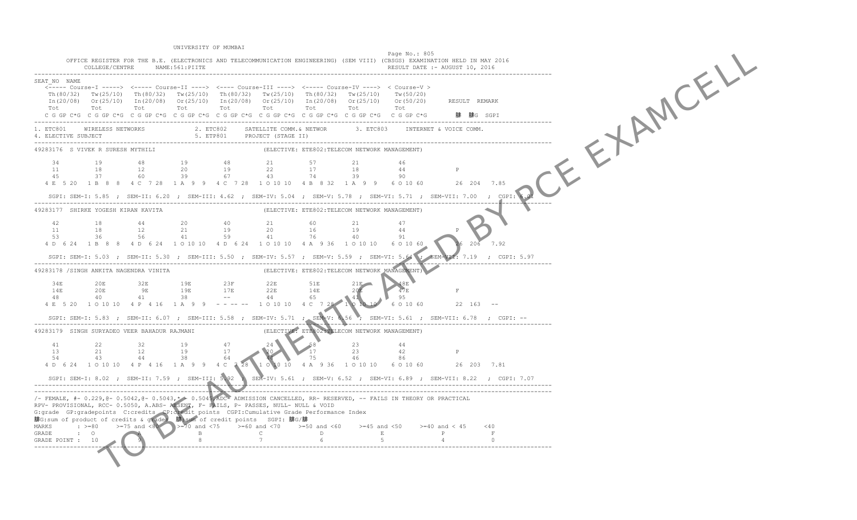TO BE A RIGHT OF EXAMPLE UNIVERSITY OF MUMBAI Page No.: 805 OFFICE REGISTER FOR THE B.E. (ELECTRONICS AND TELECOMMUNICATION ENGINEERING) (SEM VIII) (CBSGS) EXAMINATION HELD IN MAY 2016 COLLEGE/CENTRE NAME: 561: PIITE ------------------------------------------------------------------------------------------------------------------------------------------------- SEAT\_NO NAME <----- Course-I -----> <----- Course-II ----> <---- Course-III ----> <----- Course-IV ----> < Course-V > Th(80/32) Tw(25/10) Th(80/32) Tw(25/10) Th(80/32) Tw(25/10) Th(80/32) Tw(25/10) Tw(50/20)  $In (20/08)$  Or(25/10)  $In (20/08)$  Or(25/10)  $In (20/08)$  Or(25/10)  $In (20/08)$  Or(25/10) Or(50/20) Tot Tot Tot Tot Tot Tot Tot Tot Tot C G GP C\*G C G GP C\*G C G GP C\*G C G GP C\*G C G GP C\*G C G GP C\*G C G GP C\*G C G GP C\*G C G GP C\*G 腓 腓G SGPI ------------------------------------------------------------------------------------------------------------------------------------------------- 2. ETC802 SATELLITE COMM. & NETWOR 5. ETP801 PROJECT (STAGE II) ------------------------------------------------------------------------------------------------------------------------------------------------- (ELECTIVE: ETE802:TELECOM NETWORK MANAGEMENT) 34 19 48 19 48 21 57 21 46 11 18 12 20 19 22 17 18 44 P 45 37 60 39 67 43 74 39 90 4 E 5 20 1 B 8 8 4 C 7 28 1 A 9 9 4 C 7 28 1 O 10 10 4 B 8 32 1 A 9 9 6 0 10 60 SGPI: SEM-I: 5.85 ; SEM-II: 6.20 ; SEM-III: 4.62 ; SEM-IV: 5.04 ; SEM-V: 5.78 ; SEM-VI: 5.71 ; SEM-VII: 7.00 ; CGPI: 6.01 ------------------------------------------------------------------------------------------------------------------------------------------------- (ELECTIVE: ETE802:TELECOM NETWORK MANAGEMENT) 42 18 44 20 40 21 60 21 47  $\begin{array}{cccc} 11 & 18 & 12 \\ 53 & 36 & 56 \end{array}$  53 36 56 41 59 41 76 40 91 4 D 6 24 1 B 8 8 4 D 6 24 1 O 10 10 4 D 6 24 1 O 10 10 4 A 9 36 1 O 10 10 6 O 10 60 26 206 7.92 SGPI: SEM-I: 5.03 ; SEM-II: 5.30 ; SEM-III: 5.50 ; SEM-IV: 5.57 ; SEM-V: 5.59 ; SEM-VI: 5.64 ; ------------------------------------------------------------------------------------------------------------------------------------------------- (ELECTIVE: ETE802:TELECOM NETWORK MANAGEMENT) 34E 20E 32E 19E 23F 22E 51E 21E 48E 14E 20E 9E 19E 17E 22E 14E 20E 47E F  $\frac{14E}{48}$   $\frac{20E}{40}$   $\frac{1}{1}$ 4 E 5 20 1 O 10 10 4 P 4 16 1 A 9 9 - - - - - 1 O 10 10 4 C 7 28 SGPI: SEM-I: 5.83 ; SEM-II: 6.07 ; SEM-III: 5.58 ; SEM-IV: 5.71 ; SEM-V: 6.56 ; SEM-VI: 5.61 ; SEM-VII: 6.78 ; CGPI: -- ------------------------------------------------------------------------------------------------------------------------------------------------- 49283179 SINGH SURYADEO VEER BAHADUR RAJMANI 41 22 32 19 47 24 58 23 44 13 21 12 19 17 20 17 23 42 P<br>54 43 44 38 64 75 46 86 1 0 10 10 4 A 9 36 1 0 10 10 6 0 10 60 26 203 7.81 SGPI: SEM-I: 8.02 ; SEM-II: 7.59 ; SEM-III: 5.92 ; SEM-IV: 5.61 ; SEM-V: 6.52 ; SEM-VI: 6.89 ; SEM-VII: 8.22 ; CGPI: 7.07 ------------------------------------------------------------------------------------------------------------------------------------------------- ------------------------------------------------------------------------------------------------------------------------------------------------- /- FEMALE, #- 0.229,@- 0.5042,@- 0.5043,\* - 0.5045,ADC- ADMISSION CANCELLED, RR- RESERVED, -- FAILS IN THEORY OR PRACTICAL RPV- PROVISIONAL, RCC- 0.5050, A.ABS- ABSENT, F- FAILS, P- PASSES, NULL- NULL & VOID G:grade GP:gradepoints C:credits CP:credit points CGPI:Cumulative Grade Performance Index 腓G:sum of product of credits & grades 腓:sum of credit points SGPI: 腓G/腓 MARKS :  $>=80$   $>=75$  and  $<80$   $>=70$  and  $<75$   $>=60$  and  $<70$   $>=50$  and  $<60$   $>=45$  and  $<50$   $>=40$  and  $<45$   $<40$ <br>E P F GRADE POINT : 10 -------------------------------------------------------------------------------------------------------------------------------------------------